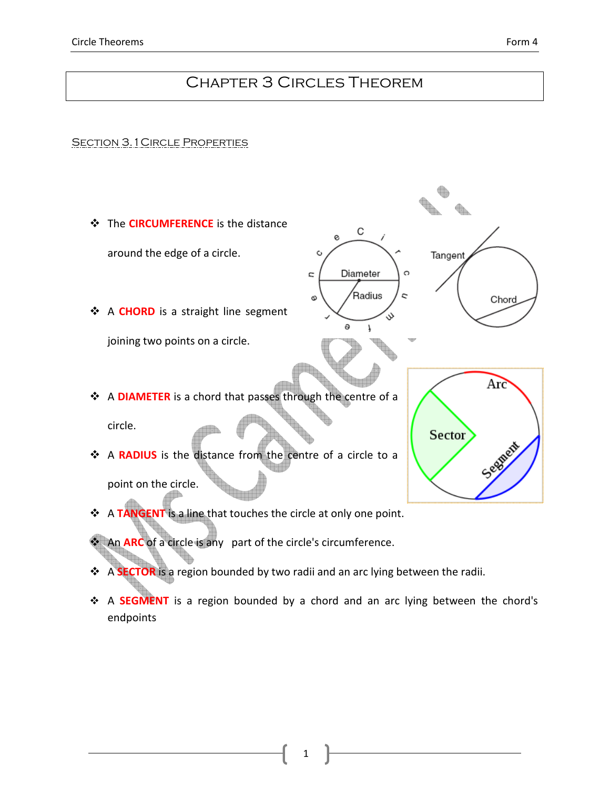# Chapter 3 Circles Theorem

#### **SECTION 3.1 CIRCLE PROPERTIES**



- An **ARC** of a circle is any part of the circle's circumference.
- A **SECTOR** is a region bounded by two radii and an arc lying between the radii.
- ◆ A SEGMENT is a region bounded by a chord and an arc lying between the chord's endpoints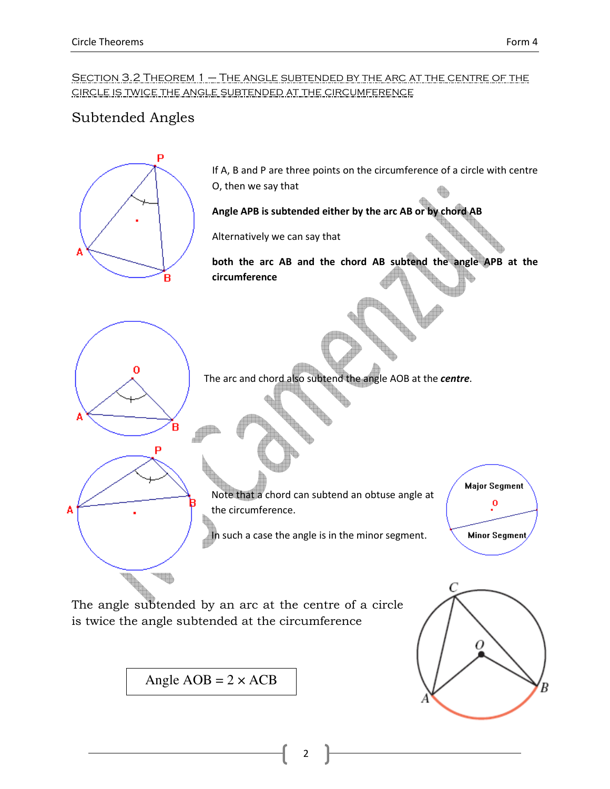### SECTION 3.2 THEOREM 1 – THE ANGLE SUBTENDED BY THE ARC AT THE CENTRE OF THE circle is twice the angle subtended at the circumference

## Subtended Angles



2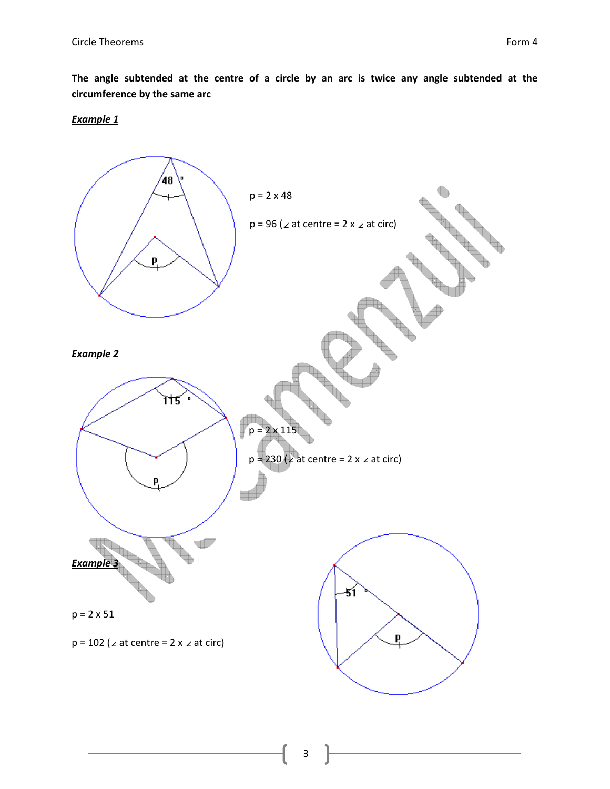The angle subtended at the centre of a circle by an arc is twice any angle subtended at the circumference by the same arc

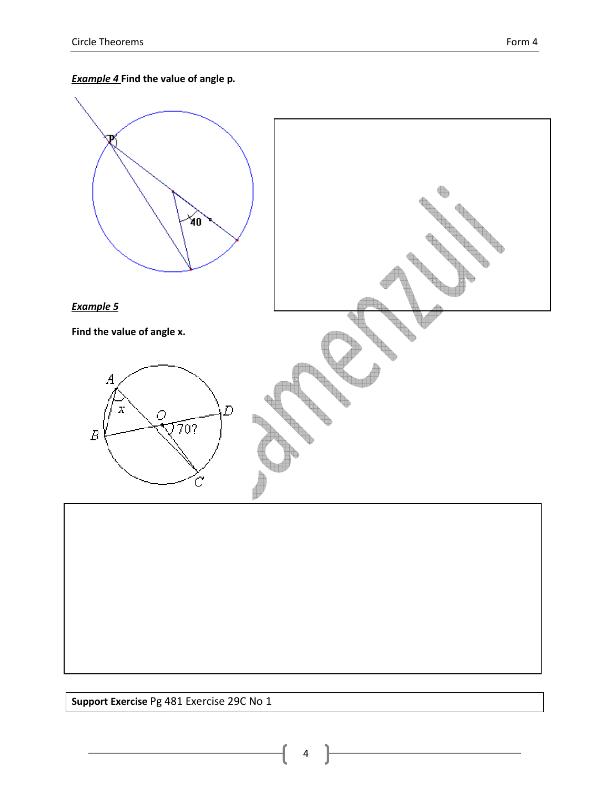## **Example 4** Find the value of angle p.



Support Exercise Pg 481 Exercise 29C No 1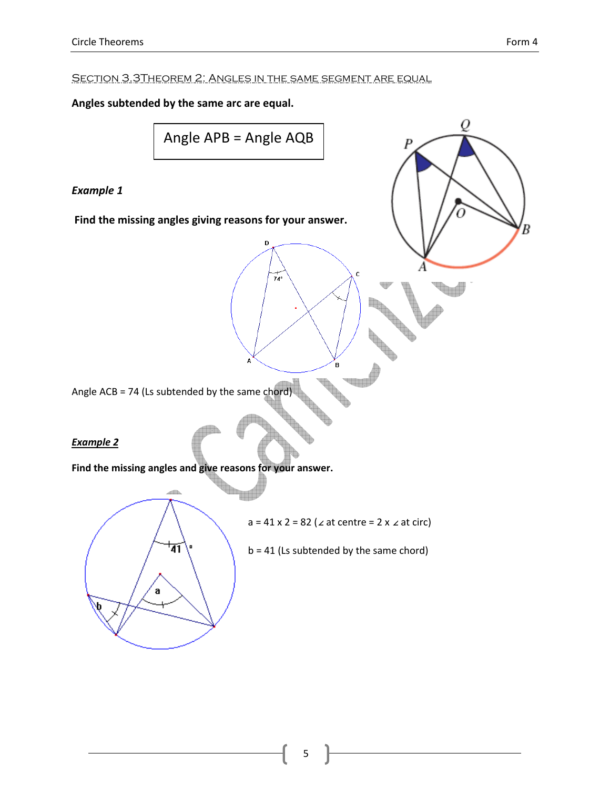P

#### SECTION 3.3THEOREM 2: ANGLES IN THE SAME SEGMENT ARE EQUAL

#### Angles subtended by the same arc are equal.

$$
Angle APB = Angle AQB
$$

D

 $74^\circ$ 

### Example 1

Find the missing angles giving reasons for your answer.

Angle ACB = 74 (Ls subtended by the same chord)

#### Example 2

Find the missing angles and give reasons for your answer.

1358

 $a = 41 \times 2 = 82$  (∠ at centre = 2 x ∠ at circ)

 $\mathbf B$ 

 $b = 41$  (Ls subtended by the same chord)

'41 a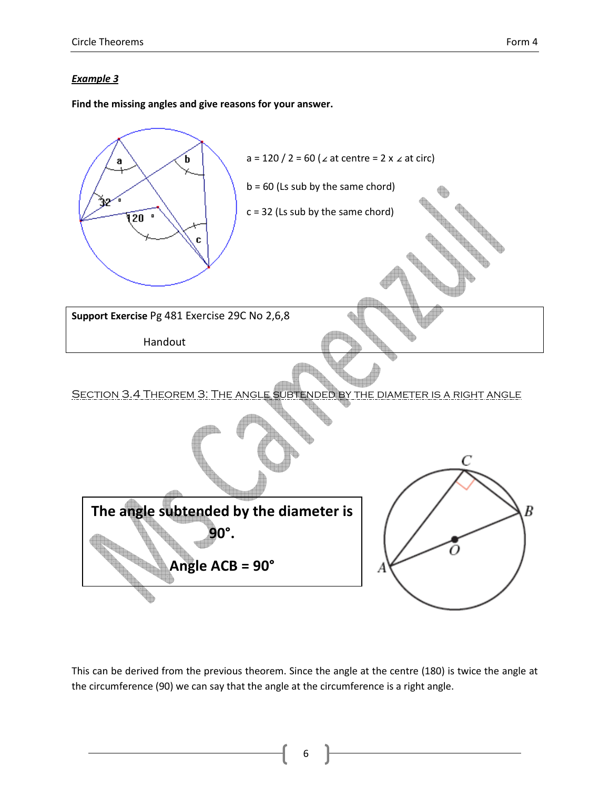Find the missing angles and give reasons for your answer.



This can be derived from the previous theorem. Since the angle at the centre (180) is twice the angle at the circumference (90) we can say that the angle at the circumference is a right angle.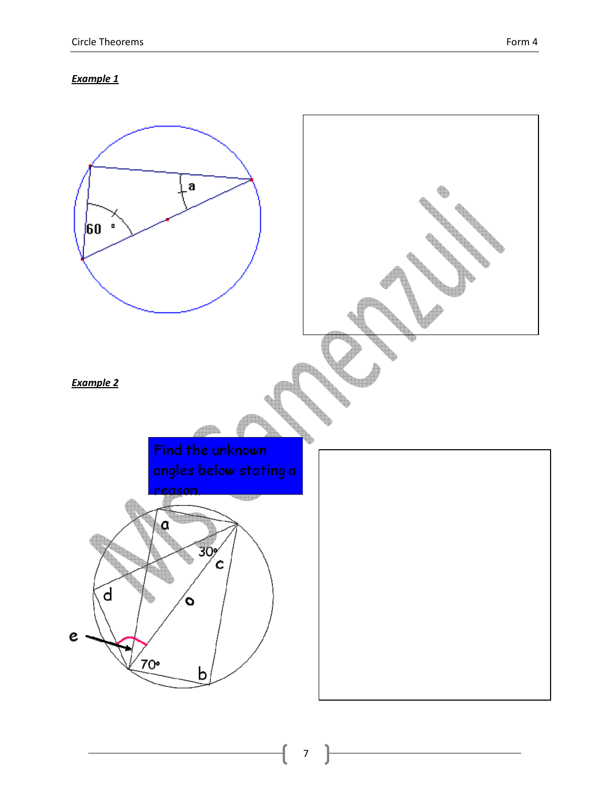

7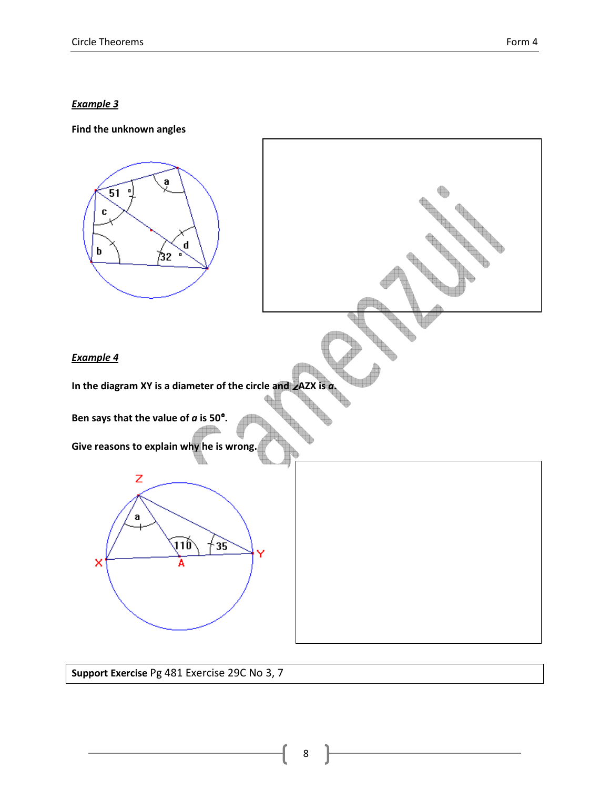

Support Exercise Pg 481 Exercise 29C No 3, 7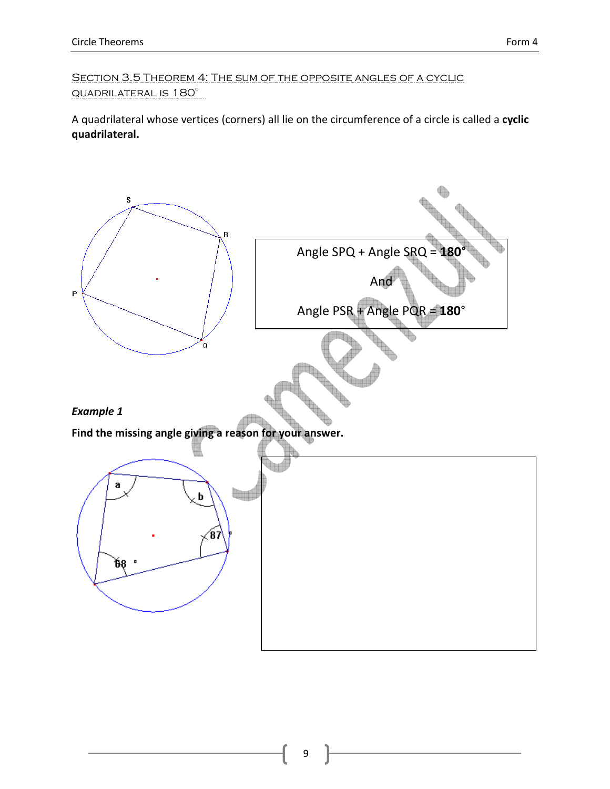SECTION 3.5 THEOREM 4: THE SUM OF THE OPPOSITE ANGLES OF A CYCLIC QUADRILATERAL IS 180°

A quadrilateral whose vertices (corners) all lie on the circumference of a circle is called a cyclic quadrilateral.

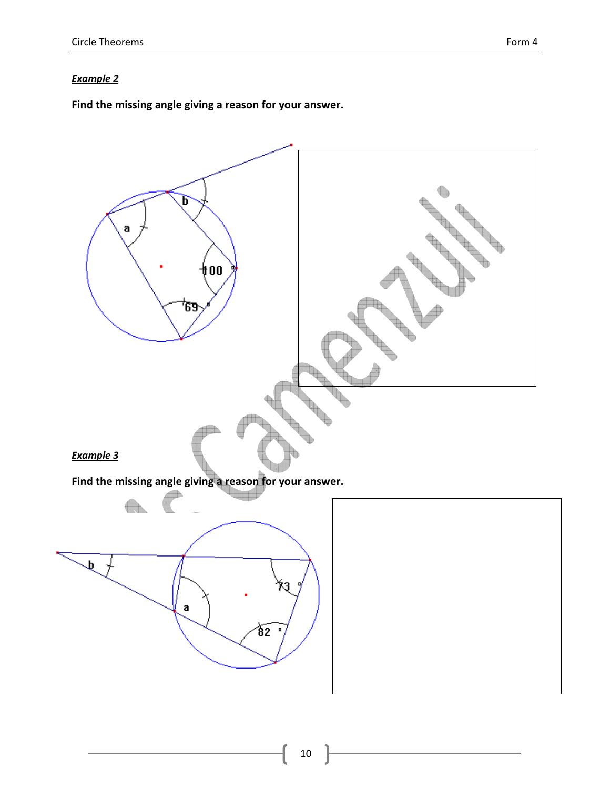Find the missing angle giving a reason for your answer.

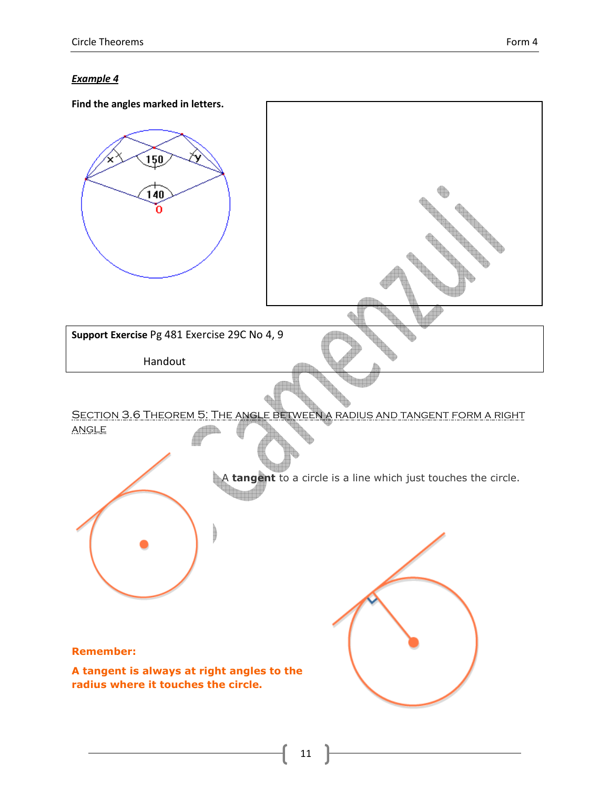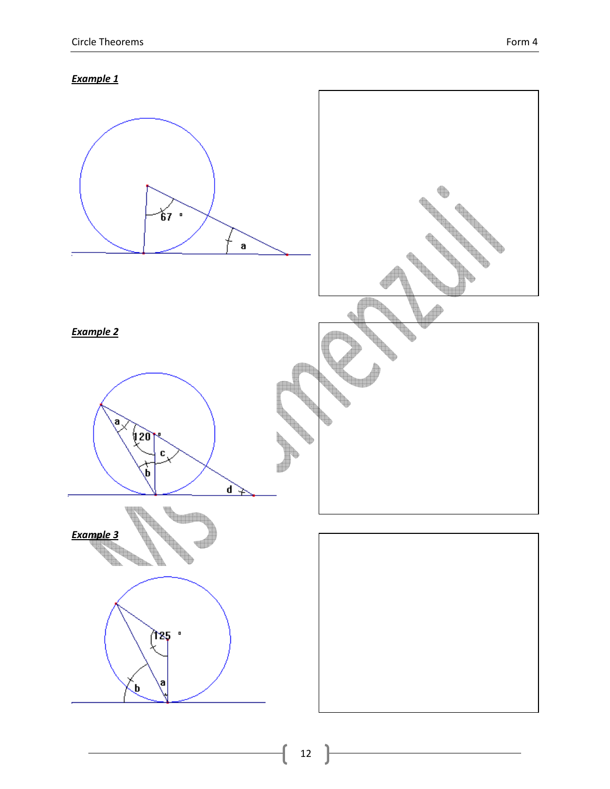

12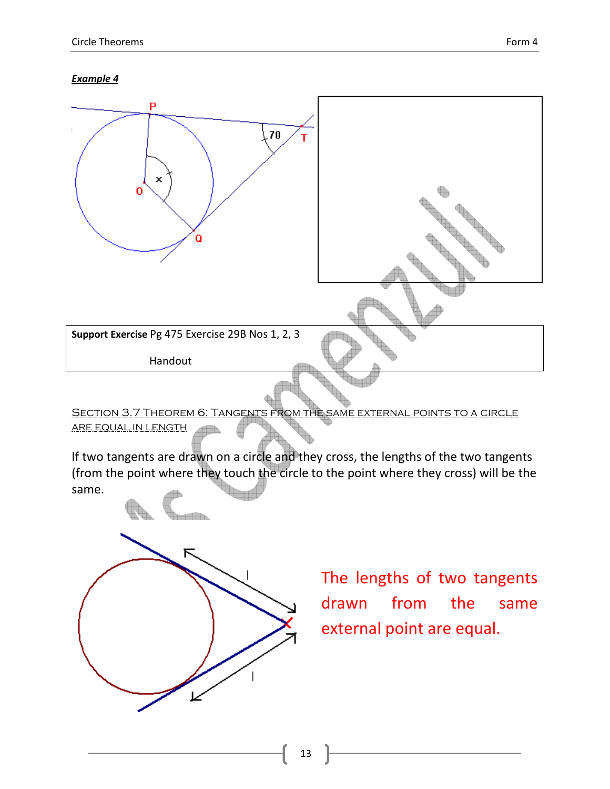

Section 3.7 Theorem 6: Tangents from the same external points to a circle are equal in length 116.

If two tangents are drawn on a circle and they cross, the lengths of the two tangents (from the point where they touch the circle to the point where they cross) will be the same.



The lengths of two tangents drawn from the same external point are equal.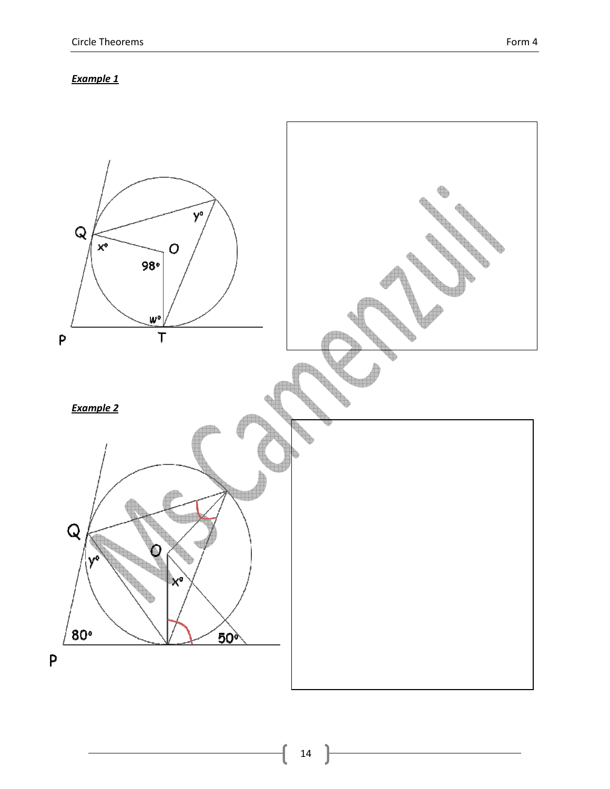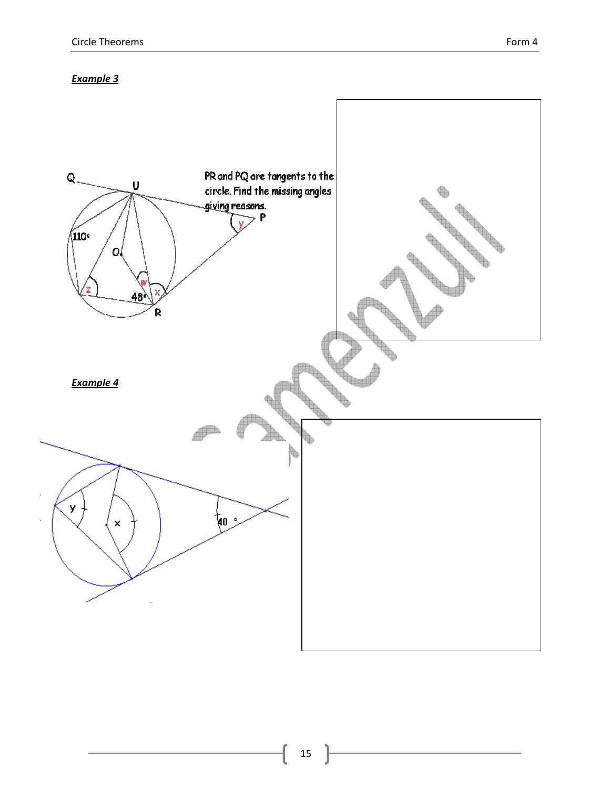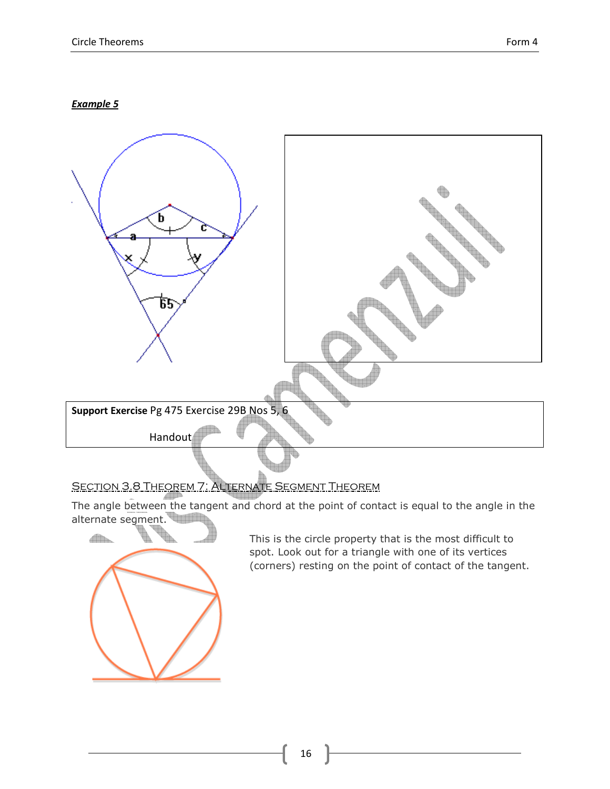

## SECTION 3.8 THEOREM 7: ALTERNATE SEGMENT THEOREM

The angle between the tangent and chord at the point of contact is equal to the angle in the



This is the circle property that is the most difficult to spot. Look out for a triangle with one of its vertices (corners) resting on the point of contact of the tangent.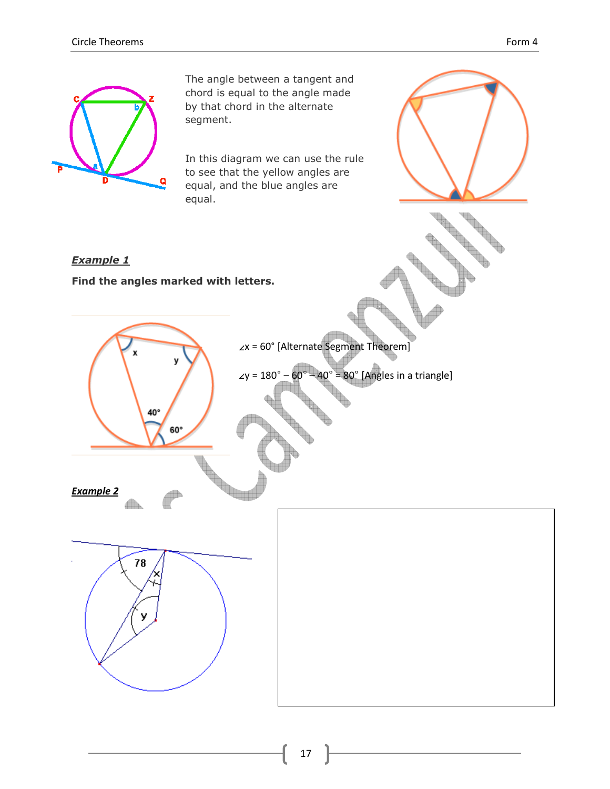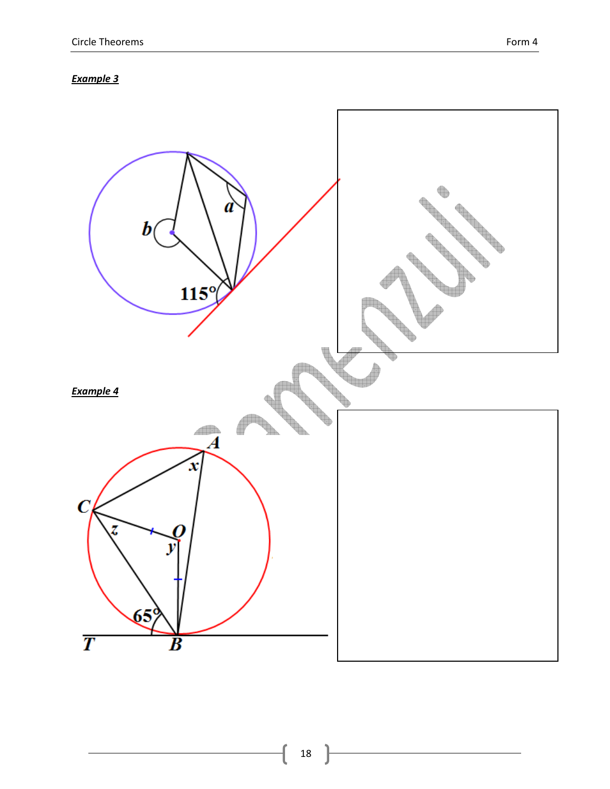